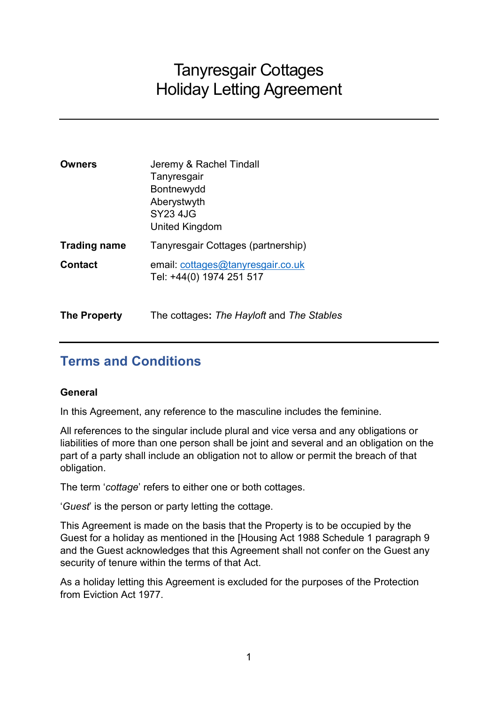# Tanyresgair Cottages Holiday Letting Agreement

| <b>Owners</b>       | Jeremy & Rachel Tindall<br>Tanyresgair<br>Bontnewydd<br>Aberystwyth<br>SY23 4JG<br>United Kingdom |
|---------------------|---------------------------------------------------------------------------------------------------|
| <b>Trading name</b> | Tanyresgair Cottages (partnership)                                                                |
| <b>Contact</b>      | email: cottages@tanyresgair.co.uk<br>Tel: +44(0) 1974 251 517                                     |

The Property The cottages: The Hayloft and The Stables

# Terms and Conditions

# General

In this Agreement, any reference to the masculine includes the feminine.

All references to the singular include plural and vice versa and any obligations or liabilities of more than one person shall be joint and several and an obligation on the part of a party shall include an obligation not to allow or permit the breach of that obligation.

The term 'cottage' refers to either one or both cottages.

'Guest' is the person or party letting the cottage.

This Agreement is made on the basis that the Property is to be occupied by the Guest for a holiday as mentioned in the [Housing Act 1988 Schedule 1 paragraph 9 and the Guest acknowledges that this Agreement shall not confer on the Guest any security of tenure within the terms of that Act.

As a holiday letting this Agreement is excluded for the purposes of the Protection from Eviction Act 1977.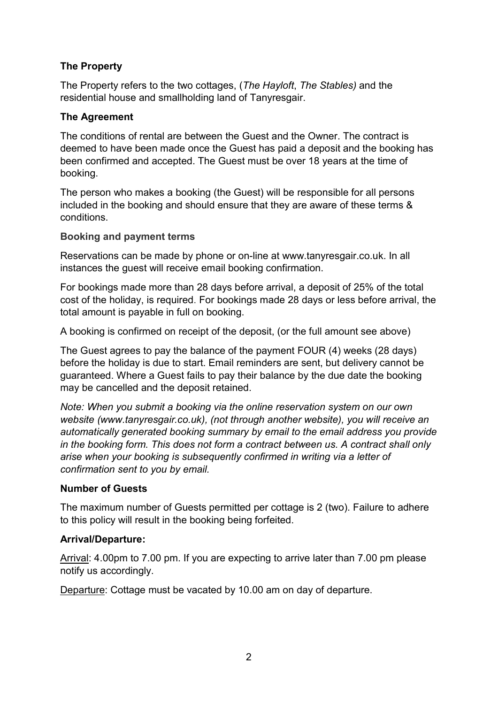# The Property

The Property refers to the two cottages, (The Hayloft, The Stables) and the residential house and smallholding land of Tanyresgair.

# The Agreement

The conditions of rental are between the Guest and the Owner. The contract is deemed to have been made once the Guest has paid a deposit and the booking has been confirmed and accepted. The Guest must be over 18 years at the time of booking.

The person who makes a booking (the Guest) will be responsible for all persons included in the booking and should ensure that they are aware of these terms & conditions.

# Booking and payment terms

Reservations can be made by phone or on-line at www.tanyresgair.co.uk. In all instances the guest will receive email booking confirmation.

For bookings made more than 28 days before arrival, a deposit of 25% of the total cost of the holiday, is required. For bookings made 28 days or less before arrival, the total amount is payable in full on booking.

A booking is confirmed on receipt of the deposit, (or the full amount see above)

The Guest agrees to pay the balance of the payment FOUR (4) weeks (28 days) before the holiday is due to start. Email reminders are sent, but delivery cannot be guaranteed. Where a Guest fails to pay their balance by the due date the booking may be cancelled and the deposit retained.

Note: When you submit a booking via the online reservation system on our own website (www.tanyresgair.co.uk), (not through another website), you will receive an automatically generated booking summary by email to the email address you provide in the booking form. This does not form a contract between us. A contract shall only arise when your booking is subsequently confirmed in writing via a letter of confirmation sent to you by email.

# Number of Guests

The maximum number of Guests permitted per cottage is 2 (two). Failure to adhere to this policy will result in the booking being forfeited.

# Arrival/Departure:

Arrival: 4.00pm to 7.00 pm. If you are expecting to arrive later than 7.00 pm please notify us accordingly.

Departure: Cottage must be vacated by 10.00 am on day of departure.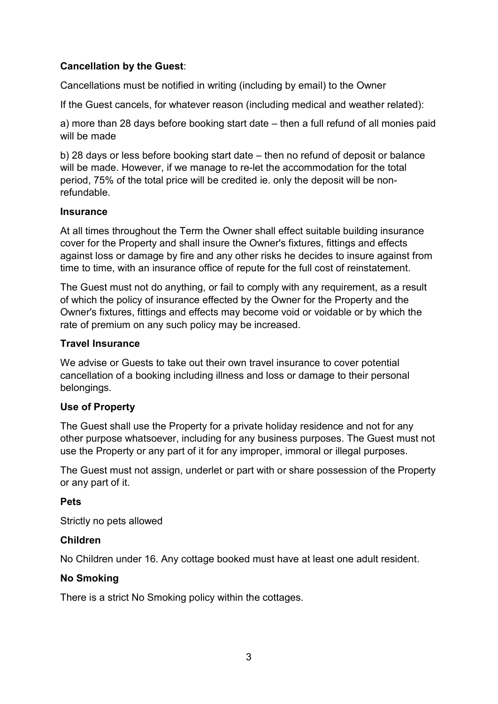# Cancellation by the Guest:

Cancellations must be notified in writing (including by email) to the Owner

If the Guest cancels, for whatever reason (including medical and weather related):

a) more than 28 days before booking start date – then a full refund of all monies paid will be made

b) 28 days or less before booking start date – then no refund of deposit or balance will be made. However, if we manage to re-let the accommodation for the total period, 75% of the total price will be credited ie. only the deposit will be nonrefundable.

#### Insurance

At all times throughout the Term the Owner shall effect suitable building insurance cover for the Property and shall insure the Owner's fixtures, fittings and effects against loss or damage by fire and any other risks he decides to insure against from time to time, with an insurance office of repute for the full cost of reinstatement.

The Guest must not do anything, or fail to comply with any requirement, as a result of which the policy of insurance effected by the Owner for the Property and the Owner's fixtures, fittings and effects may become void or voidable or by which the rate of premium on any such policy may be increased.

# Travel Insurance

We advise or Guests to take out their own travel insurance to cover potential cancellation of a booking including illness and loss or damage to their personal belongings.

# Use of Property

The Guest shall use the Property for a private holiday residence and not for any other purpose whatsoever, including for any business purposes. The Guest must not use the Property or any part of it for any improper, immoral or illegal purposes.

The Guest must not assign, underlet or part with or share possession of the Property or any part of it.

# Pets

Strictly no pets allowed

# Children

No Children under 16. Any cottage booked must have at least one adult resident.

# No Smoking

There is a strict No Smoking policy within the cottages.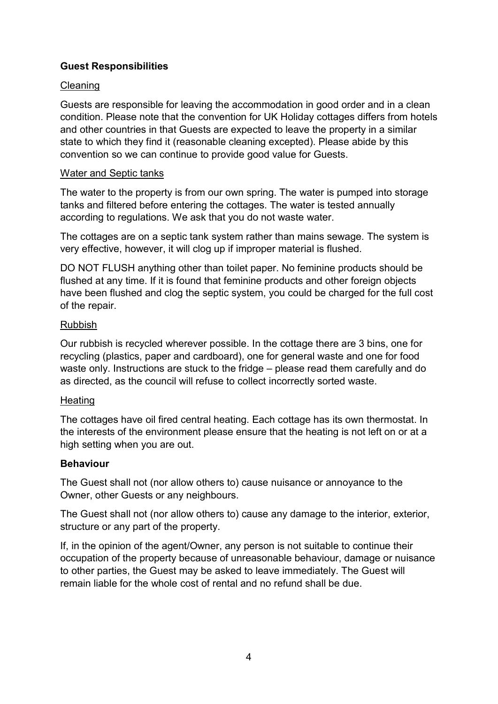# Guest Responsibilities

# **Cleaning**

Guests are responsible for leaving the accommodation in good order and in a clean condition. Please note that the convention for UK Holiday cottages differs from hotels and other countries in that Guests are expected to leave the property in a similar state to which they find it (reasonable cleaning excepted). Please abide by this convention so we can continue to provide good value for Guests.

#### Water and Septic tanks

The water to the property is from our own spring. The water is pumped into storage tanks and filtered before entering the cottages. The water is tested annually according to regulations. We ask that you do not waste water.

The cottages are on a septic tank system rather than mains sewage. The system is very effective, however, it will clog up if improper material is flushed.

DO NOT FLUSH anything other than toilet paper. No feminine products should be flushed at any time. If it is found that feminine products and other foreign objects have been flushed and clog the septic system, you could be charged for the full cost of the repair.

#### Rubbish

Our rubbish is recycled wherever possible. In the cottage there are 3 bins, one for recycling (plastics, paper and cardboard), one for general waste and one for food waste only. Instructions are stuck to the fridge – please read them carefully and do as directed, as the council will refuse to collect incorrectly sorted waste.

#### **Heating**

The cottages have oil fired central heating. Each cottage has its own thermostat. In the interests of the environment please ensure that the heating is not left on or at a high setting when you are out.

# Behaviour

The Guest shall not (nor allow others to) cause nuisance or annoyance to the Owner, other Guests or any neighbours.

The Guest shall not (nor allow others to) cause any damage to the interior, exterior, structure or any part of the property.

If, in the opinion of the agent/Owner, any person is not suitable to continue their occupation of the property because of unreasonable behaviour, damage or nuisance to other parties, the Guest may be asked to leave immediately. The Guest will remain liable for the whole cost of rental and no refund shall be due.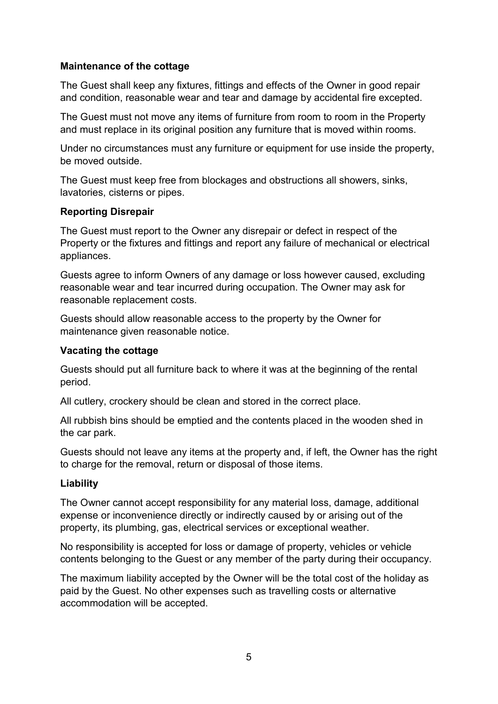#### Maintenance of the cottage

The Guest shall keep any fixtures, fittings and effects of the Owner in good repair and condition, reasonable wear and tear and damage by accidental fire excepted.

The Guest must not move any items of furniture from room to room in the Property and must replace in its original position any furniture that is moved within rooms.

Under no circumstances must any furniture or equipment for use inside the property, be moved outside.

The Guest must keep free from blockages and obstructions all showers, sinks, lavatories, cisterns or pipes.

#### Reporting Disrepair

The Guest must report to the Owner any disrepair or defect in respect of the Property or the fixtures and fittings and report any failure of mechanical or electrical appliances.

Guests agree to inform Owners of any damage or loss however caused, excluding reasonable wear and tear incurred during occupation. The Owner may ask for reasonable replacement costs.

Guests should allow reasonable access to the property by the Owner for maintenance given reasonable notice.

#### Vacating the cottage

Guests should put all furniture back to where it was at the beginning of the rental period.

All cutlery, crockery should be clean and stored in the correct place.

All rubbish bins should be emptied and the contents placed in the wooden shed in the car park.

Guests should not leave any items at the property and, if left, the Owner has the right to charge for the removal, return or disposal of those items.

#### Liability

The Owner cannot accept responsibility for any material loss, damage, additional expense or inconvenience directly or indirectly caused by or arising out of the property, its plumbing, gas, electrical services or exceptional weather.

No responsibility is accepted for loss or damage of property, vehicles or vehicle contents belonging to the Guest or any member of the party during their occupancy.

The maximum liability accepted by the Owner will be the total cost of the holiday as paid by the Guest. No other expenses such as travelling costs or alternative accommodation will be accepted.